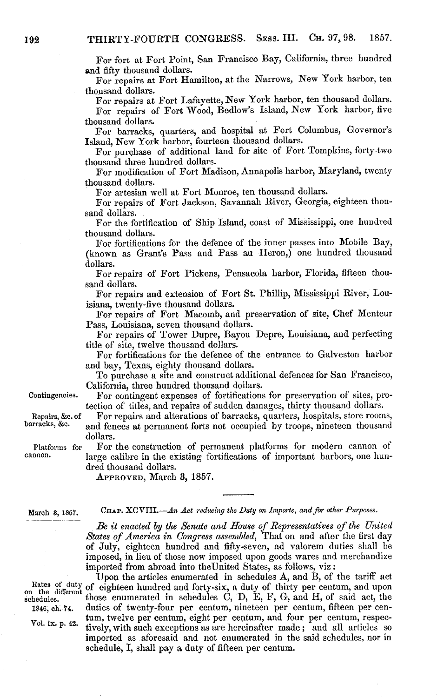For fort at Fort Point, San Francisco Bay, California, three hundred and fifty thousand dollars.

For repairs at Fort Hamilton, at the Narrows, New York harbor, ten thousand dollars.

For repairs at Fort Lafayette, New York harbor, ten thousand dollars. For repairs of Fort Wood, Bedlow's Island, New York harbor, five

thousand dollars. For barracks, quarters, and hospital at Fort Columbus, Governor's Island, New York harbor, fourteen thousand dollars.

For purchase of additional land for site of Fort Tompkins, forty-two thousand three hundred dollars.

For modification of Fort Madison, Annapolis harbor, Maryland, twenty thousand dollars.

For artesian well at Fort Monroe, ten thousand dollars.

For repairs of Fort Jackson, Savannah River, Georgia, eighteen thousand dollars.

For the fortification of Ship Island, coast of Mississippi, one hundred thousand dollars.

For fortifications for the defence of the inner passes into Mobile Bay, (known as Grant's Pass and Pass au Heron,) one hundred thousand dollars.

For repairs of Fort Pickens, Pensacola harbor, Florida, fifteen thousand dollars.

For repairs and extension of Fort St. Phillip, Mississippi River, Louisiana, twenty-five thousand dollars.

For repairs of Fort Macomb, and preservation of site, Chef Menteur Pass, Louisiana, seven thousand dollars.

For repairs of Tower Dupre, Bayou Depre, Louisiana, and perfecting title of site, twelve thousand dollars.

For fortifications for the defence of the entrance to Galveston harbor and bay, Texas, eighty thousand dollars.

To purchase a site and construct additional defences for San Francisco, California, three hundred thousand dollars.

Contingencies. For contingent expenses of fortifications for preservation of sites, protection of titles, and repairs of sudden damages, thirty thousand dollars.

Repairs, &c. of For repairs and alterations of barracks, quarters, hospitals, store rooms, barracks, &c. and fences at permanent forts not occupied by troops, nineteen thousand and fences at permanent forts not occupied by troops, nineteen thousand dollars.

Platforms for For the construction of permanent platforms for modern cannon of cannon. large calibre in the existing fortifications of important harbors, one hundred thousand dollars.

APPROVED, March 3, 1857.

March 3, 1857. CHAP. XCVIII.-An *Act reducing the Duty on Imports, and for other Purposes*.

*Be it enacted by the Senate and House of Representatives of the United States of America in Congress assembled,* That on and after the first day of July, eighteen hundred and fifty-seven, ad valorem duties shall be imposed, in lieu of those now imposed upon goods wares and merchandize imported from abroad into theUnited States, as follows, viz:

Upon the articles enumerated in schedules A, and B, of the tariff act Rates of duty of eighteen hundred and forty-six, a duty of thirty per centum, and upon on the different those enumerated in schedules C, D, E, F, G, and H, of said act, the those enumerated in schedules C, D, E, F, G, and H, of said act, the 1846, ch. 74. duties of twenty-four per centum, nineteen per centum, fifteen per cen vol. ix. p. 42. tum, twelve per centum, eight per centum, and four per centum, respec-<br>Vol. ix. p. 42. timely respectively presenting as and hereinafter made and all articles as tively, with such exceptions as are hereinafter made; and all articles so imported as aforesaid and not enumerated in the said schedules, nor in schedule, I, shall pay a duty of fifteen per centum.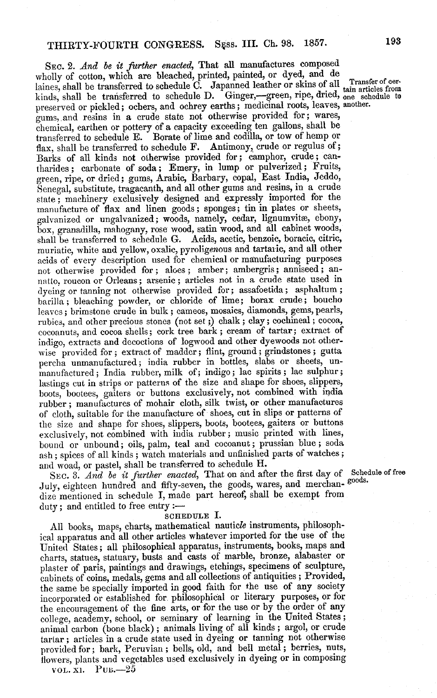SEc. 2. *And be it further enacted,* That all manufactures composed wholly of cotton, which are bleached, printed, painted, or dyed, and de laines, shall be transferred to schedule C. Japanned leather or skins of all Transfer of cer-<br>kinds, shall be transferred to schedule D. Ginger,—green, ripe, dried, one schedule to kinds, shall be transferred to schedule D. preserved or pickled; ochers, and ochrey earths; medicinal roots, leaves, another. gums, and resins in a crude state not otherwise provided for; wares, chemical, earthen or pottery of a capacity exceeding ten gallons, shall be transferred to schedule E. Borate of lime and codilla, or tow of hemp or flax, shall be transferred to schedule F. Antimony, crude or regulus of; Barks of all kinds not otherwise provided for; camphor, crude; cantharides; carbonate of soda; Emery, in lump or pulverized; Fruits, green, ripe, or dried; gums, Arabic, Barbary, copal, East India, Jeddo, Senegal, substitute, tragacanth, and all other gums and resins, in a crude state; machinery exclusively designed and expressly imported for the manufacture of flax and linen goods; sponges; tin in plates or sheets, galvanized or ungalvanized; woods, namely, cedar, lignumvitæ, ebony, box, granadilla, mahogany, rose wood, satin wood, and all cabinet woods, shall be transferred to schedule G. Acids, acetic, benzoic, boracic, citric, muriatic, white and yellow, oxalic, pyroligenous and tartaric, and all other acids of every description used for chemical or manufacturing purposes not otherwise provided for; aloes; amber; ambergris; anniseed; annatto, roucon or Orleans; arsenic; articles not in a crude state used in dyeing or tanning not otherwise provided for; assafoetida; asphaltum; barilla; bleaching powder, or chloride of lime; borax crude; boucho leaves; brimstone crude in bulk; cameos, mosaics, diamonds, gems, pearls, rubies, and other precious stones (not set ;) chalk; clay; cochineal; cocoa, cocoanuts, and cocoa shells; cork tree bark; cream of tartar; extract of indigo, extracts and decoctions of logwood and other dyewoods not otherwise provided for; extract of madder; flint, ground; grindstones; gutta percha unmanufactured; india rubber in bottles, slabs or sheets, unmanufactured; India rubber, milk of; indigo; lac spirits; lac sulphur; lastings cut in strips or patterns of the size and shape for shoes, slippers, boots, bootees, gaiters or buttons exclusively, not combined with india rubber; manufactures of mohair cloth, silk twist, or other manufactures of cloth, suitable for the manufacture of shoes, cut in slips or patterns of the size and shape for shoes, slippers, boots, bootees, gaiters or buttons exclusively, not combined with india rubber; music printed with lines, bound or unbound; oils, palm, teal and cocoanut; prussian blue; soda ash; spices of all kinds; watch materials and unfinished parts of watches; and woad, or pastel, shall be transferred to schedule H.

SEC. 3. *And be it further enacted*, That on and after the first day of Schedule of free July, eighteen hundred and fifty-seven, the goods, wares, and merchan-goods. dize mentioned in schedule I, made part hereof, shall be exempt from duty; and entitled to free entry :-

## **SCHEDULE** I.

All books, maps, charts, mathematical nauticle instruments, philosophical apparatus and all other articles whatever imported for the use of the United States; all philosophical apparatus, instruments, books, maps and charts, statues, statuary, busts and casts of marble, bronze, alabaster or plaster of paris, paintings and drawings, etchings, specimens of sculpture, cabinets of coins, medals, gems and all collections of antiquities; Provided, the same be specially imported in good faith for the use of any society incorporated or established for philosophical or literary purposes, or for the encouragement of the fine arts, or for the use or by the order of any college, academy, school, or seminary of learning in the United States; animal carbon (bone black); animals living of all kinds; argol, or crude tartar; articles in a crude state used in dyeing or tanning not otherwise provided for; bark, Peruvian; bells, old, and bell metal; berries, nuts, flowers, plants and vegetables used exclusively in dyeing or in composing  $VOL. \overline{X}$ l. PUB.  $-2\overline{5}$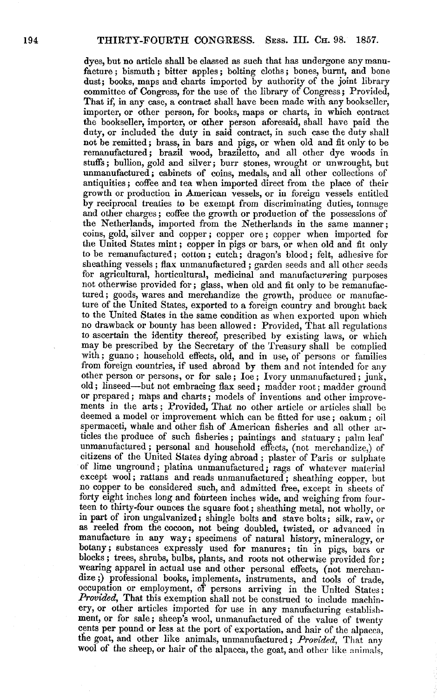dyes, but no article shall be classed as such that has undergone any manu- facture; bismuth; bitter apples; bolting cloths; bones, burnt, and bone dust; books, maps and charts imported by authority of the joint library committee of Congress, for the use of the library of Congress; Provided, That if, in any case, a contract shall have been made with any bookseller, importer, or other person, for books, maps or charts, in which contract the bookseller, importer, or other person aforesaid, shall have paid the duty, or included the duty in said contract, in such case the duty shall not be remitted; brass, in bars and pigs, or when old and fit only to be remanufactured; brazil wood, braziletto, and all other dye woods in stuffs; bullion, gold and silver; burr stones, wrought or unwrought, but unmanufactured; cabinets of coins, medals, and all other collections of antiquities; coffee and tea when imported direct from the place of their growth or production in American vessels, or in foreign vessels entitled by reciprocal treaties to be exempt from discriminating duties, tonnage and other charges; coffee the growth or production of the possessions of the Netherlands, imported from the Netherlands in the same manner; coins, gold, silver and copper; copper ore; copper when imported for the United States mint; copper in pigs or bars, or when old and fit only to be remanufactured; cotton; cutch; dragon's blood; felt, adhesive for sheathing vessels; flax unmanufactured; garden seeds and all other seeds for agricultural, horticultural, medicinal and manufacturering purposes not otherwise provided for; glass, when old and fit only to be remanufactured; goods, wares and merchandize the growth, produce or manufacture of the United States, exported to a foreign country and brought back to the United States in the same condition as when exported upon which no drawback or bounty has been allowed: Provided, That all regulations to ascertain the identity thereof, prescribed by existing laws, or which may be prescribed by the Secretary of the Treasury shall be complied with; guano; household effects, old, and in use, of persons or families from foreign countries, if used abroad by them and not intended for any other person or persons, or for sale; Ioe; Ivory unmanufactured; junk, old; linseed—but not embracing flax seed; madder root; madder ground or prepared; maps and charts; models of inventions and other improvements in the arts; Provided, That no other article or articles shall be deemed a model or improvement which can be fitted for use; oakum; oil spermaceti, whale and other fish of American fisheries and all other articles the produce of such fisheries; paintings and statuary; palm leaf unmanufactured; personal and household effects, (not merchandize,) of citizens of the United States dying abroad; plaster of Paris or sulphate of lime unground; platina unmanufactured; rags of whatever material except wool; rattans and reads unmanufactured; sheathing copper, but no copper to be considered such, and admitted free, except in sheets of forty eight inches long and fourteen inches wide, and weighing from four-<br>teen to thirty-four ounces the square foot; sheathing metal, not wholly, or in part of iron ungalvanized; shingle bolts and stave bolts; silk, raw, or as reeled from the cocoon, not being doubled, twisted, or advanced in manufacture in any way; specimens of natural history, mineralogy, or botany; substances expressly used for manures; tin in pigs, bars or blocks; trees, shrubs, bulbs, plants, and roots not otherwise provided for; wearing apparel in actual use and other personal effects, (not merchandize;) professional books, implements, instruments, and tools of trade, occupation or employment, oT persons arriving in the United States; *Provided,* That this exemption shall not be construed to include machinery, or other articles imported for use in any manufacturing establishment, or for sale; sheep's wool, unmanufactured of the value of twenty cents per pound or less at the port of exportation, and hair of the alpacca, the goat, and other like animals, unmanufactured; *Provided,* That any wool of the sheep, or hair of the alpacca, the goat, and other like animals,